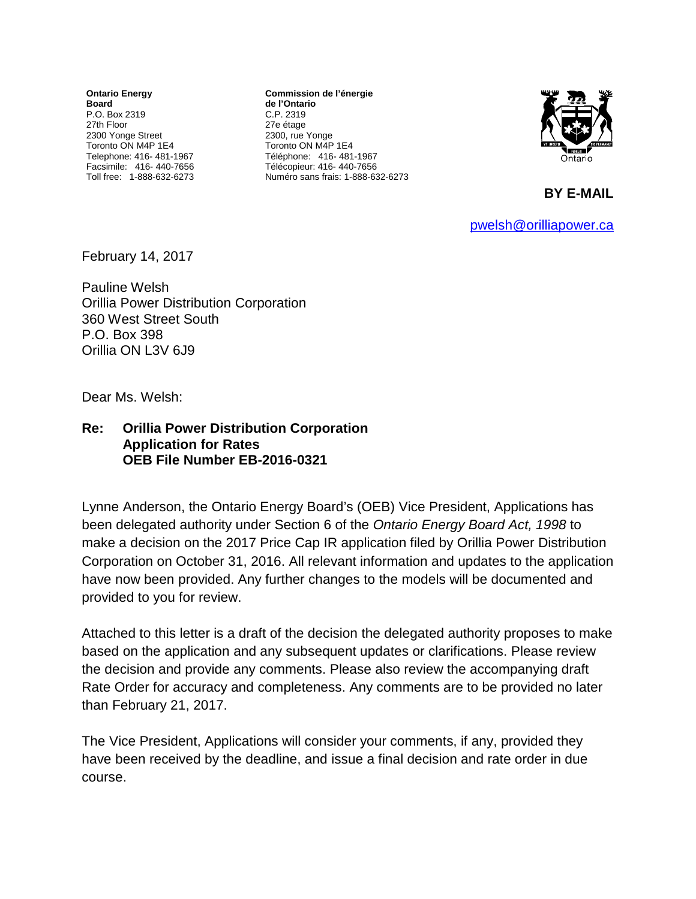**Ontario Energy Board** P.O. Box 2319 27th Floor 2300 Yonge Street Toronto ON M4P 1E4 Telephone: 416- 481-1967 Facsimile: 416- 440-7656 Toll free: 1-888-632-6273

**Commission de l'énergie de l'Ontario** C.P. 2319 27e étage 2300, rue Yonge Toronto ON M4P 1E4 Téléphone: 416- 481-1967 Télécopieur: 416- 440-7656 Numéro sans frais: 1-888-632-6273



**BY E-MAIL** 

[pwelsh@orilliapower.ca](mailto:pwelsh@orilliapower.ca)

February 14, 2017

Pauline Welsh Orillia Power Distribution Corporation 360 West Street South P.O. Box 398 Orillia ON L3V 6J9

Dear Ms. Welsh:

## **Re: Orillia Power Distribution Corporation Application for Rates OEB File Number EB-2016-0321**

Lynne Anderson, the Ontario Energy Board's (OEB) Vice President, Applications has been delegated authority under Section 6 of the *Ontario Energy Board Act, 1998* to make a decision on the 2017 Price Cap IR application filed by Orillia Power Distribution Corporation on October 31, 2016. All relevant information and updates to the application have now been provided. Any further changes to the models will be documented and provided to you for review.

Attached to this letter is a draft of the decision the delegated authority proposes to make based on the application and any subsequent updates or clarifications. Please review the decision and provide any comments. Please also review the accompanying draft Rate Order for accuracy and completeness. Any comments are to be provided no later than February 21, 2017.

The Vice President, Applications will consider your comments, if any, provided they have been received by the deadline, and issue a final decision and rate order in due course.